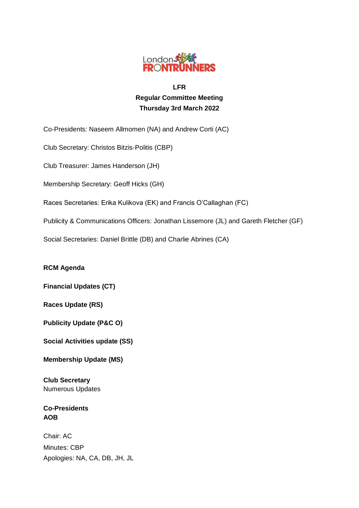

# **LFR Regular Committee Meeting Thursday 3rd March 2022**

Co-Presidents: Naseem Allmomen (NA) and Andrew Corti (AC)

Club Secretary: Christos Bitzis-Politis (CBP)

Club Treasurer: James Handerson (JH)

Membership Secretary: Geoff Hicks (GH)

Races Secretaries: Erika Kulikova (EK) and Francis O'Callaghan (FC)

Publicity & Communications Officers: Jonathan Lissemore (JL) and Gareth Fletcher (GF)

Social Secretaries: Daniel Brittle (DB) and Charlie Abrines (CA)

**RCM Agenda**

**Financial Updates (CT)**

**Races Update (RS)**

**Publicity Update (P&C O)**

**Social Activities update (SS)**

**Membership Update (MS)**

**Club Secretary** Numerous Updates

**Co-Presidents AOB**

Chair: AC Minutes: CBP Apologies: NA, CA, DB, JH, JL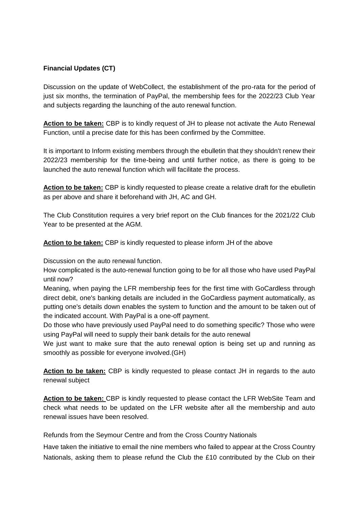## **Financial Updates (CT)**

Discussion on the update of WebCollect, the establishment of the pro-rata for the period of just six months, the termination of PayPal, the membership fees for the 2022/23 Club Year and subjects regarding the launching of the auto renewal function.

**Action to be taken:** CBP is to kindly request of JH to please not activate the Auto Renewal Function, until a precise date for this has been confirmed by the Committee.

It is important to Inform existing members through the ebulletin that they shouldn't renew their 2022/23 membership for the time-being and until further notice, as there is going to be launched the auto renewal function which will facilitate the process.

**Action to be taken:** CBP is kindly requested to please create a relative draft for the ebulletin as per above and share it beforehand with JH, AC and GH.

The Club Constitution requires a very brief report on the Club finances for the 2021/22 Club Year to be presented at the AGM.

**Action to be taken:** CBP is kindly requested to please inform JH of the above

Discussion on the auto renewal function.

How complicated is the auto-renewal function going to be for all those who have used PayPal until now?

Meaning, when paying the LFR membership fees for the first time with GoCardless through direct debit, one's banking details are included in the GoCardless payment automatically, as putting one's details down enables the system to function and the amount to be taken out of the indicated account. With PayPal is a one-off payment.

Do those who have previously used PayPal need to do something specific? Those who were using PayPal will need to supply their bank details for the auto renewal

We just want to make sure that the auto renewal option is being set up and running as smoothly as possible for everyone involved.(GH)

**Action to be taken:** CBP is kindly requested to please contact JH in regards to the auto renewal subject

**Action to be taken:** CBP is kindly requested to please contact the LFR WebSite Team and check what needs to be updated on the LFR website after all the membership and auto renewal issues have been resolved.

Refunds from the Seymour Centre and from the Cross Country Nationals

Have taken the initiative to email the nine members who failed to appear at the Cross Country Nationals, asking them to please refund the Club the £10 contributed by the Club on their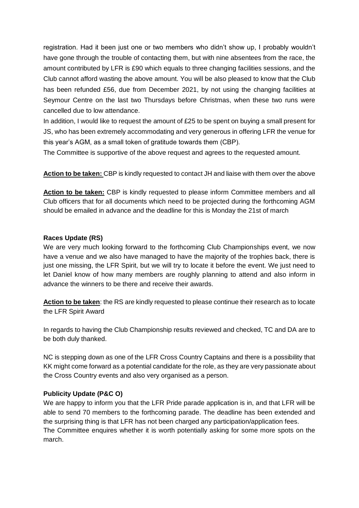registration. Had it been just one or two members who didn't show up, I probably wouldn't have gone through the trouble of contacting them, but with nine absentees from the race, the amount contributed by LFR is £90 which equals to three changing facilities sessions, and the Club cannot afford wasting the above amount. You will be also pleased to know that the Club has been refunded £56, due from December 2021, by not using the changing facilities at Seymour Centre on the last two Thursdays before Christmas, when these two runs were cancelled due to low attendance.

In addition, I would like to request the amount of £25 to be spent on buying a small present for JS, who has been extremely accommodating and very generous in offering LFR the venue for this year's AGM, as a small token of gratitude towards them (CBP).

The Committee is supportive of the above request and agrees to the requested amount.

**Action to be taken:** CBP is kindly requested to contact JH and liaise with them over the above

**Action to be taken:** CBP is kindly requested to please inform Committee members and all Club officers that for all documents which need to be projected during the forthcoming AGM should be emailed in advance and the deadline for this is Monday the 21st of march

### **Races Update (RS)**

We are very much looking forward to the forthcoming Club Championships event, we now have a venue and we also have managed to have the majority of the trophies back, there is just one missing, the LFR Spirit, but we will try to locate it before the event. We just need to let Daniel know of how many members are roughly planning to attend and also inform in advance the winners to be there and receive their awards.

**Action to be taken**: the RS are kindly requested to please continue their research as to locate the LFR Spirit Award

In regards to having the Club Championship results reviewed and checked, TC and DA are to be both duly thanked.

NC is stepping down as one of the LFR Cross Country Captains and there is a possibility that KK might come forward as a potential candidate for the role, as they are very passionate about the Cross Country events and also very organised as a person.

### **Publicity Update (P&C O)**

We are happy to inform you that the LFR Pride parade application is in, and that LFR will be able to send 70 members to the forthcoming parade. The deadline has been extended and the surprising thing is that LFR has not been charged any participation/application fees. The Committee enquires whether it is worth potentially asking for some more spots on the march.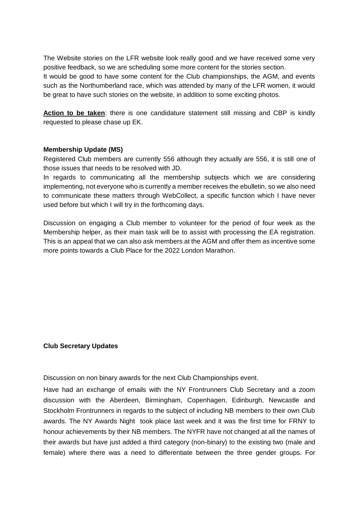The Website stories on the LFR website look really good and we have received some very positive feedback, so we are scheduling some more content for the stories section. It would be good to have some content for the Club championships, the AGM, and events such as the Northumberland race, which was attended by many of the LFR women, it would be great to have such stories on the website, in addition to some exciting photos.

**Action to be taken**: there is one candidature statement still missing and CBP is kindly requested to please chase up EK.

### **Membership Update (MS)**

Registered Club members are currently 556 although they actually are 556, it is still one of those issues that needs to be resolved with JD.

In regards to communicating all the membership subjects which we are considering implementing, not everyone who is currently a member receives the ebulletin, so we also need to communicate these matters through WebCollect, a specific function which I have never used before but which I will try in the forthcoming days.

Discussion on engaging a Club member to volunteer for the period of four week as the Membership helper, as their main task will be to assist with processing the EA registration. This is an appeal that we can also ask members at the AGM and offer them as incentive some more points towards a Club Place for the 2022 London Marathon.

### **Club Secretary Updates**

Discussion on non binary awards for the next Club Championships event.

Have had an exchange of emails with the NY Frontrunners Club Secretary and a zoom discussion with the Aberdeen, Birmingham, Copenhagen, Edinburgh, Newcastle and Stockholm Frontrunners in regards to the subject of including NB members to their own Club awards. The NY Awards Night took place last week and it was the first time for FRNY to honour achievements by their NB members. The NYFR have not changed at all the names of their awards but have just added a third category (non-binary) to the existing two (male and female) where there was a need to differentiate between the three gender groups. For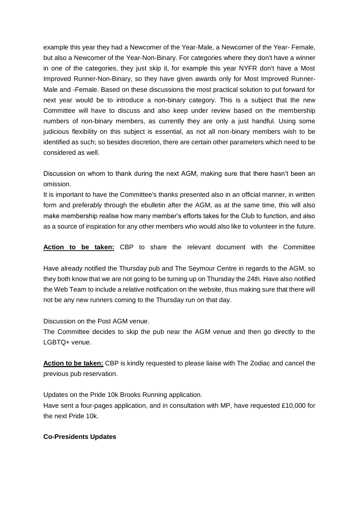example this year they had a Newcomer of the Year-Male, a Newcomer of the Year- Female, but also a Newcomer of the Year-Non-Binary. For categories where they don't have a winner in one of the categories, they just skip it, for example this year NYFR don't have a Most Improved Runner-Non-Binary, so they have given awards only for Most Improved Runner-Male and -Female. Based on these discussions the most practical solution to put forward for next year would be to introduce a non-binary category. This is a subject that the new Committee will have to discuss and also keep under review based on the membership numbers of non-binary members, as currently they are only a just handful. Using some judicious flexibility on this subject is essential, as not all non-binary members wish to be identified as such; so besides discretion, there are certain other parameters which need to be considered as well.

Discussion on whom to thank during the next AGM, making sure that there hasn't been an omission.

It is important to have the Committee's thanks presented also in an official manner, in written form and preferably through the ebulletin after the AGM, as at the same time, this will also make membership realise how many member's efforts takes for the Club to function, and also as a source of inspiration for any other members who would also like to volunteer in the future.

**Action to be taken:** CBP to share the relevant document with the Committee

Have already notified the Thursday pub and The Seymour Centre in regards to the AGM, so they both know that we are not going to be turning up on Thursday the 24th. Have also notified the Web Team to include a relative notification on the website, thus making sure that there will not be any new runners coming to the Thursday run on that day.

Discussion on the Post AGM venue.

The Committee decides to skip the pub near the AGM venue and then go directly to the LGBTQ+ venue.

**Action to be taken:** CBP is kindly requested to please liaise with The Zodiac and cancel the previous pub reservation.

Updates on the Pride 10k Brooks Running application. Have sent a four-pages application, and in consultation with MP, have requested £10,000 for the next Pride 10k.

### **Co-Presidents Updates**